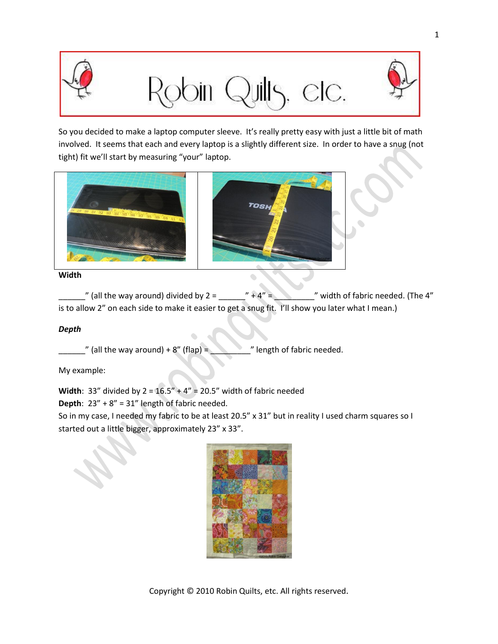

## elc.



So you decided to make a laptop computer sleeve. It's really pretty easy with just a little bit of math involved. It seems that each and every laptop is a slightly different size. In order to have a snug (not tight) fit we'll start by measuring "your" laptop.



## **Width**

 $\frac{1}{2}$ " (all the way around) divided by 2 = \_\_\_\_\_\_" + 4" = \_\_\_\_\_\_\_\_" width of fabric needed. (The 4" is to allow 2" on each side to make it easier to get a snug fit. I'll show you later what I mean.)

 $\bullet$ 

## *Depth*

 $\equiv$  " (all the way around) + 8" (flap) =  $\equiv$  " length of fabric needed.

My example:

**Width**: 33" divided by  $2 = 16.5" + 4" = 20.5"$  width of fabric needed

**Depth**: 23" + 8" = 31" length of fabric needed.

So in my case, I needed my fabric to be at least 20.5" x 31" but in reality I used charm squares so I started out a little bigger, approximately 23" x 33".

| @2010 Robin Gallagher |
|-----------------------|
|                       |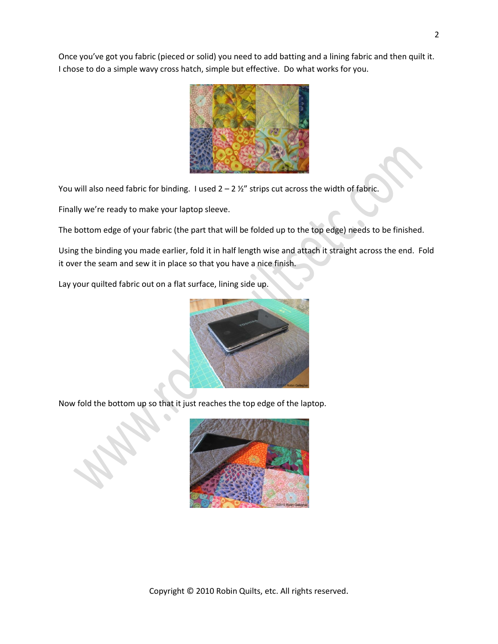Once you've got you fabric (pieced or solid) you need to add batting and a lining fabric and then quilt it. I chose to do a simple wavy cross hatch, simple but effective. Do what works for you.



You will also need fabric for binding. I used  $2 - 2 \frac{1}{2}$  strips cut across the width of fabric.

Finally we're ready to make your laptop sleeve.

The bottom edge of your fabric (the part that will be folded up to the top edge) needs to be finished.

Using the binding you made earlier, fold it in half length wise and attach it straight across the end. Fold it over the seam and sew it in place so that you have a nice finish.

Lay your quilted fabric out on a flat surface, lining side up.



Now fold the bottom up so that it just reaches the top edge of the laptop.



Copyright © 2010 Robin Quilts, etc. All rights reserved.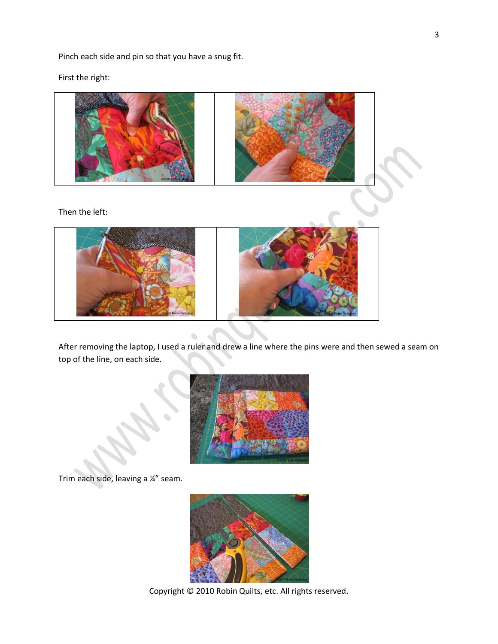Pinch each side and pin so that you have a snug fit.

First the right:



After removing the laptop, I used a ruler and drew a line where the pins were and then sewed a seam on top of the line, on each side.

 $\overline{\phantom{a}}$ 



Trim each side, leaving a ¼" seam.



Copyright © 2010 Robin Quilts, etc. All rights reserved.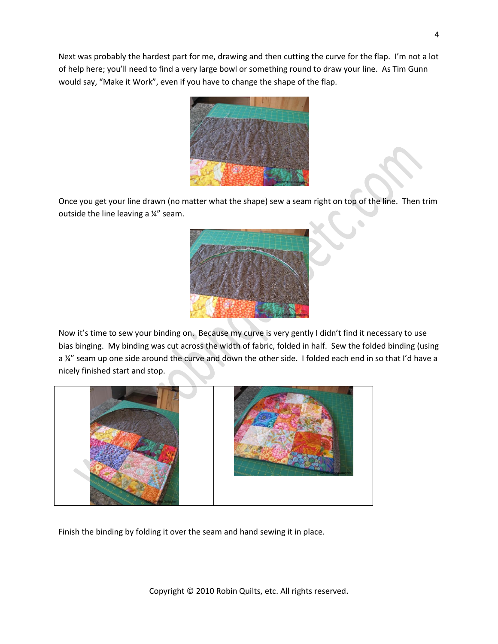Next was probably the hardest part for me, drawing and then cutting the curve for the flap. I'm not a lot of help here; you'll need to find a very large bowl or something round to draw your line. As Tim Gunn would say, "Make it Work", even if you have to change the shape of the flap.



Once you get your line drawn (no matter what the shape) sew a seam right on top of the line. Then trim outside the line leaving a ¼" seam.



Now it's time to sew your binding on. Because my curve is very gently I didn't find it necessary to use bias binging. My binding was cut across the width of fabric, folded in half. Sew the folded binding (using a ¼" seam up one side around the curve and down the other side. I folded each end in so that I'd have a nicely finished start and stop.



Finish the binding by folding it over the seam and hand sewing it in place.